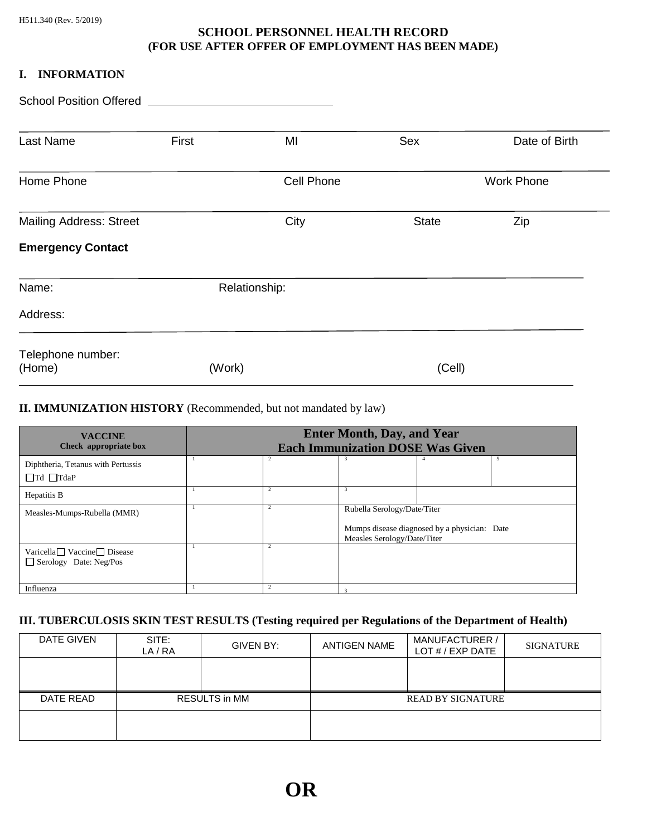## **SCHOOL PERSONNEL HEALTH RECORD (FOR USE AFTER OFFER OF EMPLOYMENT HAS BEEN MADE)**

#### **I. INFORMATION**

| Last Name                      | First  | MI            | Sex          | Date of Birth     |
|--------------------------------|--------|---------------|--------------|-------------------|
| Home Phone                     |        | Cell Phone    |              | <b>Work Phone</b> |
| <b>Mailing Address: Street</b> |        | City          | <b>State</b> | Zip               |
| <b>Emergency Contact</b>       |        |               |              |                   |
| Name:                          |        | Relationship: |              |                   |
| Address:                       |        |               |              |                   |
| Telephone number:<br>(Home)    | (Work) |               | (Cell)       |                   |

### **II. IMMUNIZATION HISTORY** (Recommended, but not mandated by law)

| <b>VACCINE</b><br>Check appropriate box                     | <b>Enter Month, Day, and Year</b><br><b>Each Immunization DOSE Was Given</b> |                |                                                                                                            |  |    |
|-------------------------------------------------------------|------------------------------------------------------------------------------|----------------|------------------------------------------------------------------------------------------------------------|--|----|
| Diphtheria, Tetanus with Pertussis<br>$\Box$ Td $\Box$ TdaP |                                                                              |                | 3                                                                                                          |  | -5 |
| Hepatitis B                                                 |                                                                              |                | 3                                                                                                          |  |    |
| Measles-Mumps-Rubella (MMR)                                 |                                                                              | $\overline{2}$ | Rubella Serology/Date/Titer<br>Mumps disease diagnosed by a physician: Date<br>Measles Serology/Date/Titer |  |    |
| Varicella Vaccine Disease<br>Serology Date: Neg/Pos         |                                                                              | 2              |                                                                                                            |  |    |
| Influenza                                                   |                                                                              |                |                                                                                                            |  |    |

# **III. TUBERCULOSIS SKIN TEST RESULTS (Testing required per Regulations of the Department of Health)**

| DATE GIVEN | SITE:<br>LA/RA       | GIVEN BY: | <b>ANTIGEN NAME</b>      | <b>MANUFACTURER /</b><br>LOT $#$ / EXP DATE | SIGNATURE |
|------------|----------------------|-----------|--------------------------|---------------------------------------------|-----------|
|            |                      |           |                          |                                             |           |
| DATE READ  | <b>RESULTS in MM</b> |           | <b>READ BY SIGNATURE</b> |                                             |           |
|            |                      |           |                          |                                             |           |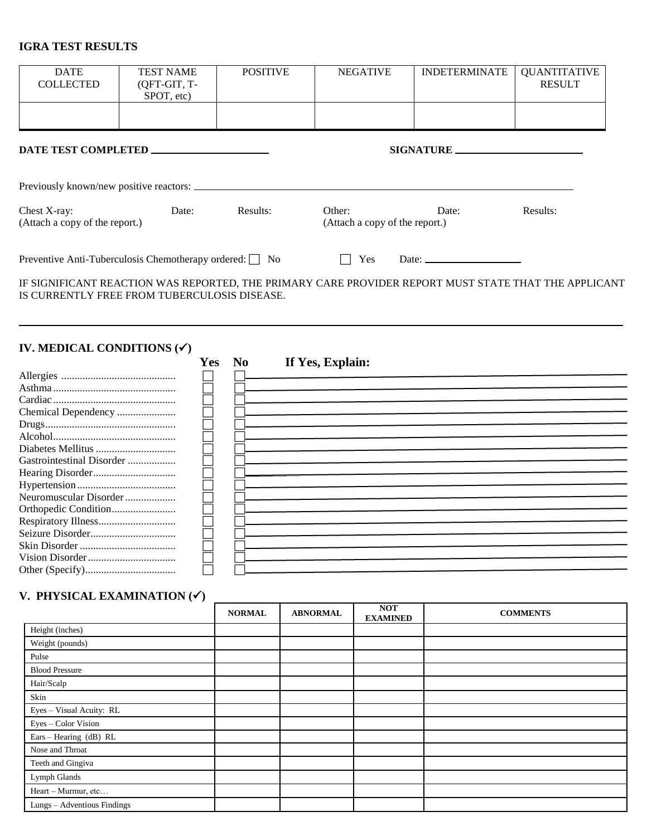### **IGRA TEST RESULTS**

| <b>DATE</b><br><b>COLLECTED</b>                                                         | <b>TEST NAME</b><br>(QFT-GIT, T-<br>SPOT, etc) | <b>POSITIVE</b>              |                  | <b>INDETERMINATE</b><br><b>NEGATIVE</b>                         | <b>QUANTITATIVE</b><br><b>RESULT</b> |
|-----------------------------------------------------------------------------------------|------------------------------------------------|------------------------------|------------------|-----------------------------------------------------------------|--------------------------------------|
|                                                                                         |                                                |                              |                  |                                                                 |                                      |
| <b>DATE TEST COMPLETED _</b>                                                            |                                                |                              |                  | SIGNATURE                                                       |                                      |
| Previously known/new positive reactors: _                                               |                                                |                              |                  |                                                                 |                                      |
| Chest X-ray:<br>(Attach a copy of the report.)                                          | Date:                                          | Results:                     | Other:           | Date:<br>(Attach a copy of the report.)                         | Results:                             |
| Preventive Anti-Tuberculosis Chemotherapy ordered: □ No                                 |                                                |                              |                  | Yes<br>Date: $\frac{1}{\sqrt{1-\frac{1}{2}} \cdot \frac{1}{2}}$ |                                      |
| IS CURRENTLY FREE FROM TUBERCULOSIS DISEASE.<br>IV. MEDICAL CONDITIONS $({\checkmark})$ |                                                | N <sub>0</sub><br><b>Yes</b> | If Yes, Explain: |                                                                 |                                      |
|                                                                                         |                                                |                              |                  |                                                                 |                                      |
|                                                                                         |                                                |                              |                  |                                                                 |                                      |
|                                                                                         |                                                |                              |                  |                                                                 |                                      |
| Chemical Dependency                                                                     |                                                |                              |                  |                                                                 |                                      |
|                                                                                         |                                                |                              |                  |                                                                 |                                      |
|                                                                                         |                                                |                              |                  |                                                                 |                                      |
| Diabetes Mellitus                                                                       |                                                |                              |                  |                                                                 |                                      |
| Gastrointestinal Disorder                                                               |                                                |                              |                  |                                                                 |                                      |
|                                                                                         |                                                |                              |                  |                                                                 |                                      |
|                                                                                         |                                                |                              |                  |                                                                 |                                      |
| Neuromuscular Disorder                                                                  |                                                |                              |                  |                                                                 |                                      |
| Orthopedic Condition                                                                    |                                                |                              |                  |                                                                 |                                      |
|                                                                                         |                                                |                              |                  |                                                                 |                                      |
|                                                                                         |                                                |                              |                  |                                                                 |                                      |
|                                                                                         |                                                |                              |                  |                                                                 |                                      |
|                                                                                         |                                                |                              |                  |                                                                 |                                      |
|                                                                                         |                                                |                              |                  |                                                                 |                                      |

# **V. PHYSICAL EXAMINATION (**✓**)**

|                             | <b>NORMAL</b> | <b>ABNORMAL</b> | <b>NOT</b><br><b>EXAMINED</b> | <b>COMMENTS</b> |
|-----------------------------|---------------|-----------------|-------------------------------|-----------------|
| Height (inches)             |               |                 |                               |                 |
| Weight (pounds)             |               |                 |                               |                 |
| Pulse                       |               |                 |                               |                 |
| <b>Blood Pressure</b>       |               |                 |                               |                 |
| Hair/Scalp                  |               |                 |                               |                 |
| Skin                        |               |                 |                               |                 |
| Eyes - Visual Acuity: RL    |               |                 |                               |                 |
| Eyes - Color Vision         |               |                 |                               |                 |
| Ears - Hearing (dB) RL      |               |                 |                               |                 |
| Nose and Throat             |               |                 |                               |                 |
| Teeth and Gingiva           |               |                 |                               |                 |
| Lymph Glands                |               |                 |                               |                 |
| Heart - Murmur, etc         |               |                 |                               |                 |
| Lungs - Adventious Findings |               |                 |                               |                 |